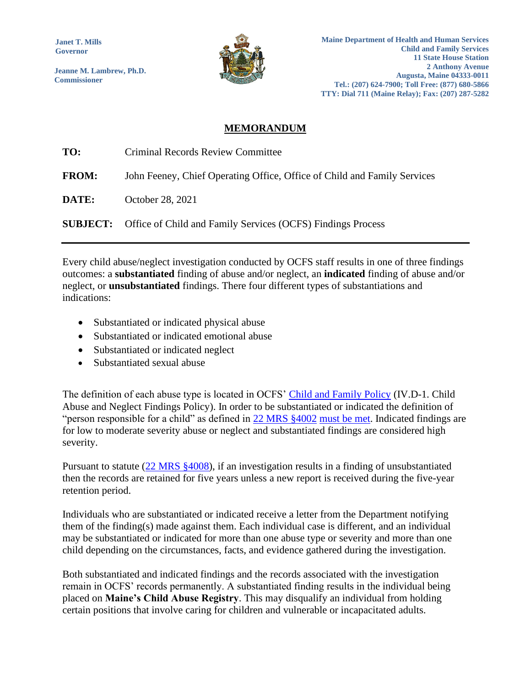**Janet T. Mills Governor**

**Jeanne M. Lambrew, Ph.D. Commissioner**



## **MEMORANDUM**

| TO:          | Criminal Records Review Committee                                           |
|--------------|-----------------------------------------------------------------------------|
| <b>FROM:</b> | John Feeney, Chief Operating Office, Office of Child and Family Services    |
| DATE:        | October 28, 2021                                                            |
|              | <b>SUBJECT:</b> Office of Child and Family Services (OCFS) Findings Process |

Every child abuse/neglect investigation conducted by OCFS staff results in one of three findings outcomes: a **substantiated** finding of abuse and/or neglect, an **indicated** finding of abuse and/or neglect, or **unsubstantiated** findings. There four different types of substantiations and indications:

- Substantiated or indicated physical abuse
- Substantiated or indicated emotional abuse
- Substantiated or indicated neglect
- Substantiated sexual abuse

The definition of each abuse type is located in OCFS' [Child and Family Policy](https://www.maine.gov/dhhs/ocfs/about-us/child-and-family-policy) (IV.D-1. Child Abuse and Neglect Findings Policy). In order to be substantiated or indicated the definition of "person responsible for a child" as defined in [22 MRS §4002](https://legislature.maine.gov/statutes/22/title22sec4002.html) must be met. Indicated findings are for low to moderate severity abuse or neglect and substantiated findings are considered high severity.

Pursuant to statute [\(22 MRS §4008\)](https://legislature.maine.gov/legis/statutes/22/title22sec4008.html), if an investigation results in a finding of unsubstantiated then the records are retained for five years unless a new report is received during the five-year retention period.

Individuals who are substantiated or indicated receive a letter from the Department notifying them of the finding(s) made against them. Each individual case is different, and an individual may be substantiated or indicated for more than one abuse type or severity and more than one child depending on the circumstances, facts, and evidence gathered during the investigation.

Both substantiated and indicated findings and the records associated with the investigation remain in OCFS' records permanently. A substantiated finding results in the individual being placed on **Maine's Child Abuse Registry**. This may disqualify an individual from holding certain positions that involve caring for children and vulnerable or incapacitated adults.